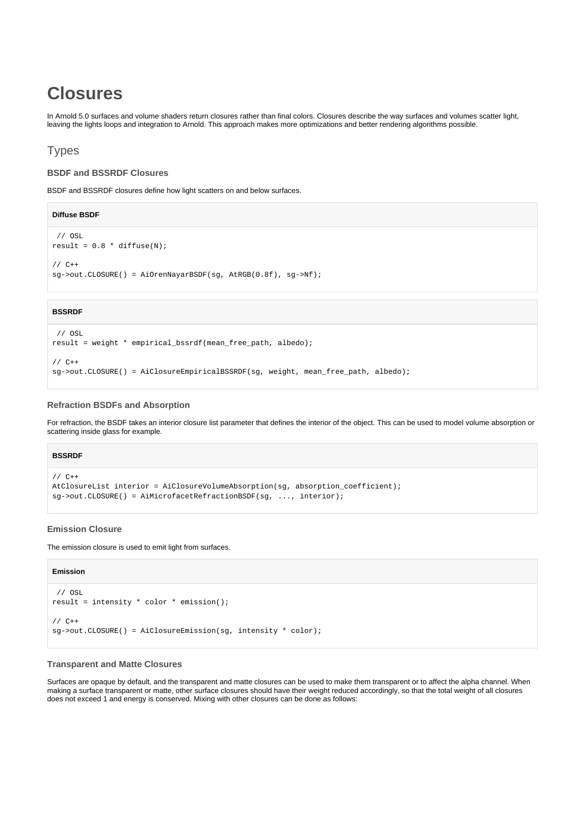# **Closures**

In Arnold 5.0 surfaces and volume shaders return closures rather than final colors. Closures describe the way surfaces and volumes scatter light, leaving the lights loops and integration to Arnold. This approach makes more optimizations and better rendering algorithms possible.

# Types

# **BSDF and BSSRDF Closures**

BSDF and BSSRDF closures define how light scatters on and below surfaces.

#### **Diffuse BSDF**

```
 // OSL
result = 0.8 * diffuse(N);
// C++
sg->out.CLOSURE() = AiOrenNayarBSDF(sg, AtRGB(0.8f), sg->Nf);
```
# **BSSRDF**

```
 // OSL
result = weight * empirical_bssrdf(mean_free_path, albedo);
// C++
sg->out.CLOSURE() = AiClosureEmpiricalBSSRDF(sg, weight, mean_free_path, albedo);
```
### **Refraction BSDFs and Absorption**

For refraction, the BSDF takes an interior closure list parameter that defines the interior of the object. This can be used to model volume absorption or scattering inside glass for example.

# **BSSRDF**

```
// C++
AtClosureList interior = AiClosureVolumeAbsorption(sg, absorption_coefficient);
sg->out.CLOSURE() = AiMicrofacetRefractionBSDF(sg, ..., interior);
```
# **Emission Closure**

The emission closure is used to emit light from surfaces.

#### **Emission**

```
 // OSL
result = intensity * color * emission();
1/ C_{++}sg->out.CLOSURE() = AiClosureEmission(sg, intensity * color);
```
# **Transparent and Matte Closures**

Surfaces are opaque by default, and the transparent and matte closures can be used to make them transparent or to affect the alpha channel. When making a surface transparent or matte, other surface closures should have their weight reduced accordingly, so that the total weight of all closures does not exceed 1 and energy is conserved. Mixing with other closures can be done as follows: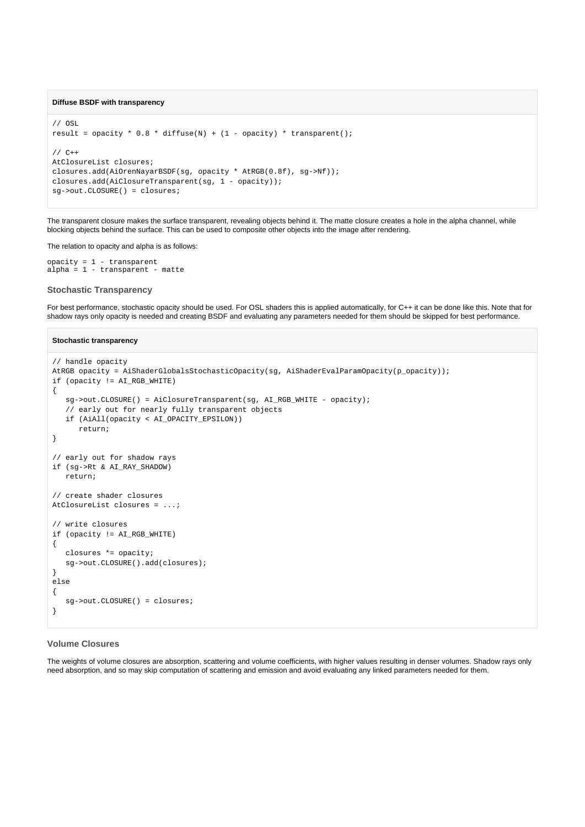#### **Diffuse BSDF with transparency**

```
// OSL
result = opacity * 0.8 * diffuse(N) + (1 - opacity) * transparent();
// C++
AtClosureList closures;
closures.add(AiOrenNayarBSDF(sg, opacity * AtRGB(0.8f), sg->Nf));
closures.add(AiClosureTransparent(sg, 1 - opacity));
sg->out.CLOSURE() = closures;
```
The transparent closure makes the surface transparent, revealing objects behind it. The matte closure creates a hole in the alpha channel, while blocking objects behind the surface. This can be used to composite other objects into the image after rendering.

The relation to opacity and alpha is as follows:

```
opacity = 1 - transparent
alpha = 1 - transparent - matte
```
#### **Stochastic Transparency**

For best performance, stochastic opacity should be used. For OSL shaders this is applied automatically, for C++ it can be done like this. Note that for shadow rays only opacity is needed and creating BSDF and evaluating any parameters needed for them should be skipped for best performance.

#### **Stochastic transparency**

```
// handle opacity
AtRGB opacity = AiShaderGlobalsStochasticOpacity(sg, AiShaderEvalParamOpacity(p_opacity));
if (opacity != AI_RGB_WHITE)
{
    sg->out.CLOSURE() = AiClosureTransparent(sg, AI_RGB_WHITE - opacity);
    // early out for nearly fully transparent objects
    if (AiAll(opacity < AI_OPACITY_EPSILON))
       return;
}
// early out for shadow rays
if (sg->Rt & AI_RAY_SHADOW)
    return;
// create shader closures
AtClosureList closures = ...;
// write closures
if (opacity != AI_RGB_WHITE)
{
    closures *= opacity;
    sg->out.CLOSURE().add(closures);
}
else
{
    sg->out.CLOSURE() = closures;
}
```
### **Volume Closures**

The weights of volume closures are absorption, scattering and volume coefficients, with higher values resulting in denser volumes. Shadow rays only need absorption, and so may skip computation of scattering and emission and avoid evaluating any linked parameters needed for them.